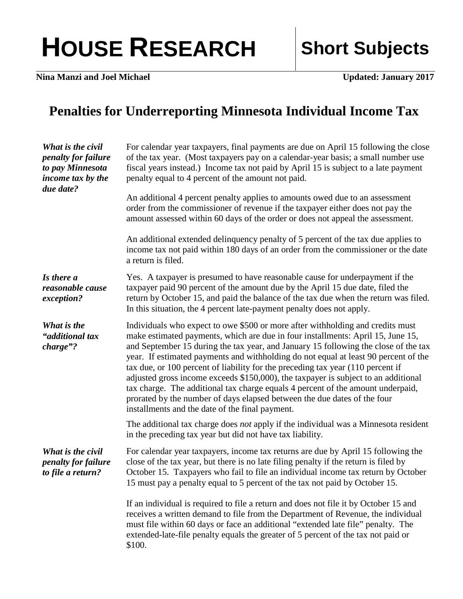## HOUSE RESEARCH Short Subjects

**Nina Manzi and Joel Michael Updated: January 2017** 

## **Penalties for Underreporting Minnesota Individual Income Tax**

| What is the civil<br><i>penalty for failure</i><br>to pay Minnesota<br>income tax by the<br>due date? | For calendar year taxpayers, final payments are due on April 15 following the close<br>of the tax year. (Most taxpayers pay on a calendar-year basis; a small number use<br>fiscal years instead.) Income tax not paid by April 15 is subject to a late payment<br>penalty equal to 4 percent of the amount not paid.                                                                                                                                                                                                                                                                                                                                                                                                                      |
|-------------------------------------------------------------------------------------------------------|--------------------------------------------------------------------------------------------------------------------------------------------------------------------------------------------------------------------------------------------------------------------------------------------------------------------------------------------------------------------------------------------------------------------------------------------------------------------------------------------------------------------------------------------------------------------------------------------------------------------------------------------------------------------------------------------------------------------------------------------|
|                                                                                                       | An additional 4 percent penalty applies to amounts owed due to an assessment<br>order from the commissioner of revenue if the taxpayer either does not pay the<br>amount assessed within 60 days of the order or does not appeal the assessment.                                                                                                                                                                                                                                                                                                                                                                                                                                                                                           |
|                                                                                                       | An additional extended delinquency penalty of 5 percent of the tax due applies to<br>income tax not paid within 180 days of an order from the commissioner or the date<br>a return is filed.                                                                                                                                                                                                                                                                                                                                                                                                                                                                                                                                               |
| Is there a<br>reasonable cause<br>exception?                                                          | Yes. A taxpayer is presumed to have reasonable cause for underpayment if the<br>taxpayer paid 90 percent of the amount due by the April 15 due date, filed the<br>return by October 15, and paid the balance of the tax due when the return was filed.<br>In this situation, the 4 percent late-payment penalty does not apply.                                                                                                                                                                                                                                                                                                                                                                                                            |
| What is the<br>"additional tax<br>charge"?                                                            | Individuals who expect to owe \$500 or more after withholding and credits must<br>make estimated payments, which are due in four installments: April 15, June 15,<br>and September 15 during the tax year, and January 15 following the close of the tax<br>year. If estimated payments and withholding do not equal at least 90 percent of the<br>tax due, or 100 percent of liability for the preceding tax year (110 percent if<br>adjusted gross income exceeds \$150,000), the taxpayer is subject to an additional<br>tax charge. The additional tax charge equals 4 percent of the amount underpaid,<br>prorated by the number of days elapsed between the due dates of the four<br>installments and the date of the final payment. |
|                                                                                                       | The additional tax charge does <i>not</i> apply if the individual was a Minnesota resident<br>in the preceding tax year but did not have tax liability.                                                                                                                                                                                                                                                                                                                                                                                                                                                                                                                                                                                    |
| What is the civil<br><i>penalty for failure</i><br>to file a return?                                  | For calendar year taxpayers, income tax returns are due by April 15 following the<br>close of the tax year, but there is no late filing penalty if the return is filed by<br>October 15. Taxpayers who fail to file an individual income tax return by October<br>15 must pay a penalty equal to 5 percent of the tax not paid by October 15.                                                                                                                                                                                                                                                                                                                                                                                              |
|                                                                                                       | If an individual is required to file a return and does not file it by October 15 and<br>receives a written demand to file from the Department of Revenue, the individual<br>must file within 60 days or face an additional "extended late file" penalty. The<br>extended-late-file penalty equals the greater of 5 percent of the tax not paid or<br>\$100.                                                                                                                                                                                                                                                                                                                                                                                |